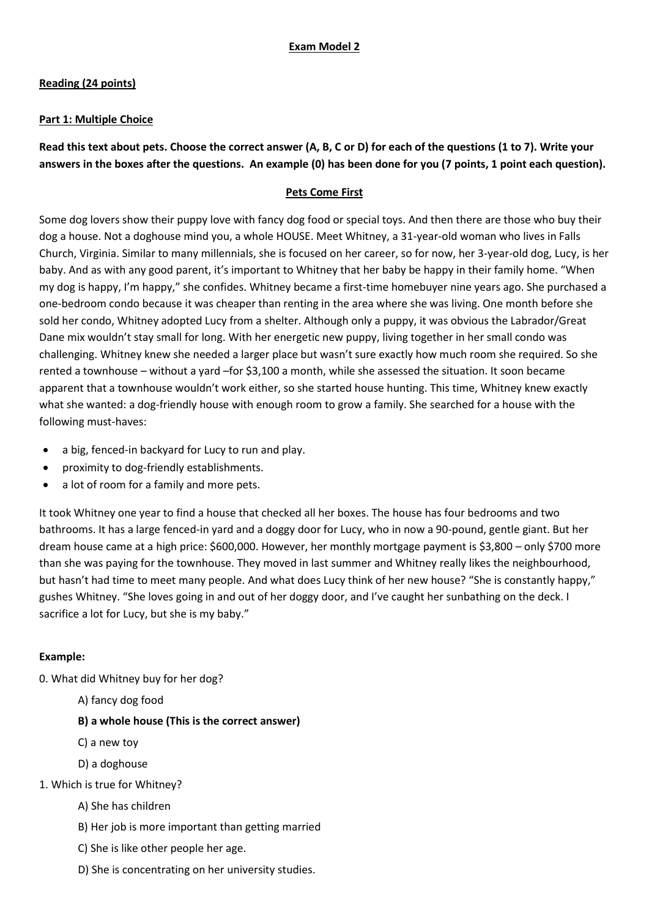# **Reading (24 points)**

### **Part 1: Multiple Choice**

**Read this text about pets. Choose the correct answer (A, B, C or D) for each of the questions (1 to 7). Write your answers in the boxes after the questions. An example (0) has been done for you (7 points, 1 point each question).**

### **Pets Come First**

Some dog lovers show their puppy love with fancy dog food or special toys. And then there are those who buy their dog a house. Not a doghouse mind you, a whole HOUSE. Meet Whitney, a 31-year-old woman who lives in Falls Church, Virginia. Similar to many millennials, she is focused on her career, so for now, her 3-year-old dog, Lucy, is her baby. And as with any good parent, it's important to Whitney that her baby be happy in their family home. "When my dog is happy, I'm happy," she confides. Whitney became a first-time homebuyer nine years ago. She purchased a one-bedroom condo because it was cheaper than renting in the area where she was living. One month before she sold her condo, Whitney adopted Lucy from a shelter. Although only a puppy, it was obvious the Labrador/Great Dane mix wouldn't stay small for long. With her energetic new puppy, living together in her small condo was challenging. Whitney knew she needed a larger place but wasn't sure exactly how much room she required. So she rented a townhouse – without a yard –for \$3,100 a month, while she assessed the situation. It soon became apparent that a townhouse wouldn't work either, so she started house hunting. This time, Whitney knew exactly what she wanted: a dog-friendly house with enough room to grow a family. She searched for a house with the following must-haves:

- a big, fenced-in backyard for Lucy to run and play.
- proximity to dog-friendly establishments.
- a lot of room for a family and more pets.

It took Whitney one year to find a house that checked all her boxes. The house has four bedrooms and two bathrooms. It has a large fenced-in yard and a doggy door for Lucy, who in now a 90-pound, gentle giant. But her dream house came at a high price: \$600,000. However, her monthly mortgage payment is \$3,800 – only \$700 more than she was paying for the townhouse. They moved in last summer and Whitney really likes the neighbourhood, but hasn't had time to meet many people. And what does Lucy think of her new house? "She is constantly happy," gushes Whitney. "She loves going in and out of her doggy door, and I've caught her sunbathing on the deck. I sacrifice a lot for Lucy, but she is my baby."

# **Example:**

- 0. What did Whitney buy for her dog?
	- A) fancy dog food

# **B) a whole house (This is the correct answer)**

- C) a new toy
- D) a doghouse
- 1. Which is true for Whitney?
	- A) She has children
	- B) Her job is more important than getting married
	- C) She is like other people her age.
	- D) She is concentrating on her university studies.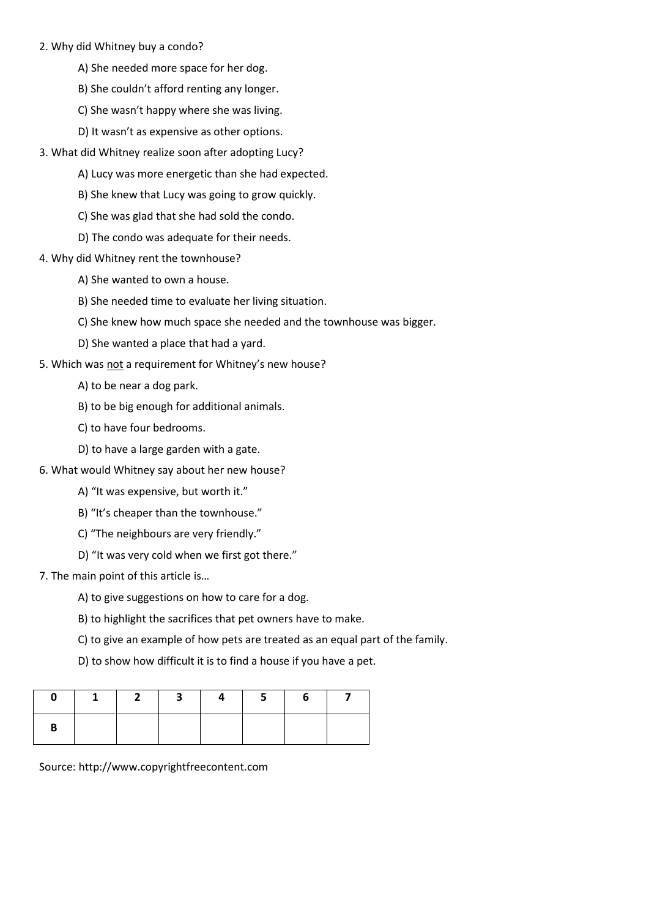#### 2. Why did Whitney buy a condo?

- A) She needed more space for her dog.
- B) She couldn't afford renting any longer.
- C) She wasn't happy where she was living.
- D) It wasn't as expensive as other options.
- 3. What did Whitney realize soon after adopting Lucy?
	- A) Lucy was more energetic than she had expected.
	- B) She knew that Lucy was going to grow quickly.
	- C) She was glad that she had sold the condo.
	- D) The condo was adequate for their needs.
- 4. Why did Whitney rent the townhouse?
	- A) She wanted to own a house.
	- B) She needed time to evaluate her living situation.
	- C) She knew how much space she needed and the townhouse was bigger.
	- D) She wanted a place that had a yard.
- 5. Which was not a requirement for Whitney's new house?
	- A) to be near a dog park.
	- B) to be big enough for additional animals.
	- C) to have four bedrooms.
	- D) to have a large garden with a gate.
- 6. What would Whitney say about her new house?
	- A) "It was expensive, but worth it."
	- B) "It's cheaper than the townhouse."
	- C) "The neighbours are very friendly."
	- D) "It was very cold when we first got there."
- 7. The main point of this article is…
	- A) to give suggestions on how to care for a dog.
	- B) to highlight the sacrifices that pet owners have to make.
	- C) to give an example of how pets are treated as an equal part of the family.
	- D) to show how difficult it is to find a house if you have a pet.

|  | $2 \mid 3 \mid$ | 4 | 5 |  |
|--|-----------------|---|---|--|
|  |                 |   |   |  |

Source: http://www.copyrightfreecontent.com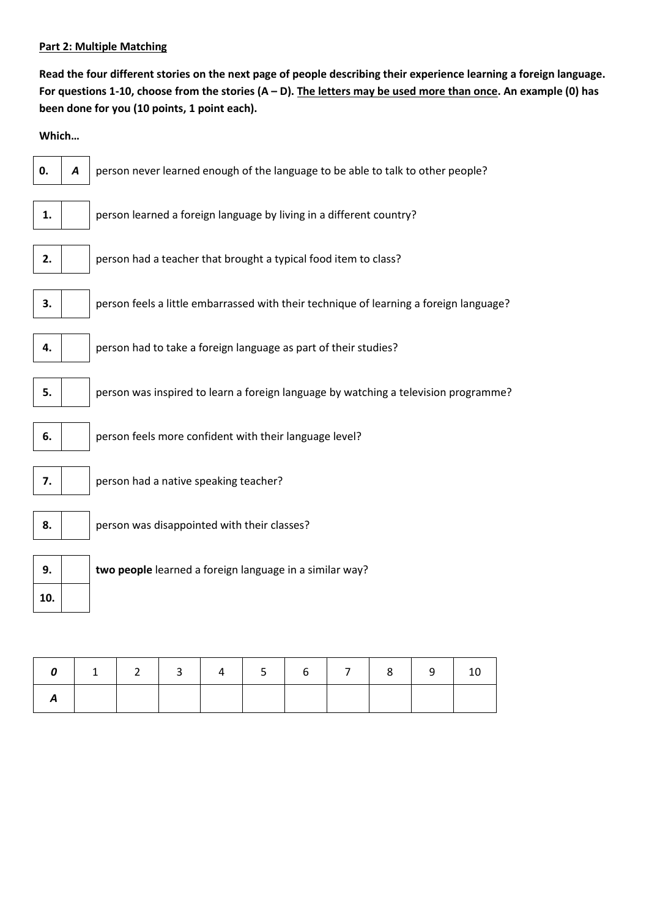#### **Part 2: Multiple Matching**

**Read the four different stories on the next page of people describing their experience learning a foreign language. For questions 1-10, choose from the stories (A – D). The letters may be used more than once. An example (0) has been done for you (10 points, 1 point each).**

**Which…**

**10.**



| $0$ 1 2 3 4 5 6 7 8 9 10 |  |  |  |  |  |
|--------------------------|--|--|--|--|--|
|                          |  |  |  |  |  |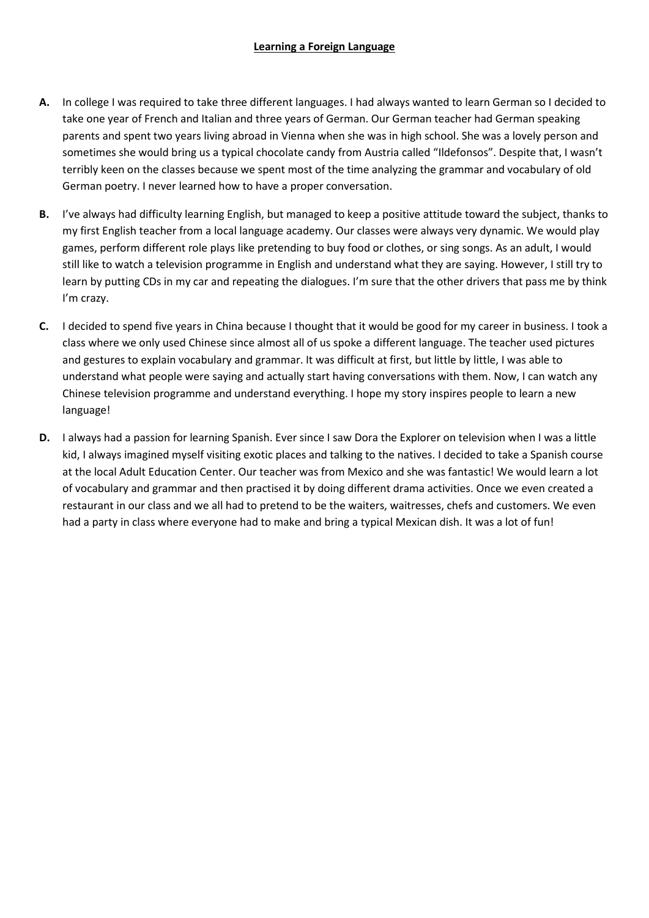### **Learning a Foreign Language**

- **A.** In college I was required to take three different languages. I had always wanted to learn German so I decided to take one year of French and Italian and three years of German. Our German teacher had German speaking parents and spent two years living abroad in Vienna when she was in high school. She was a lovely person and sometimes she would bring us a typical chocolate candy from Austria called "Ildefonsos". Despite that, I wasn't terribly keen on the classes because we spent most of the time analyzing the grammar and vocabulary of old German poetry. I never learned how to have a proper conversation.
- **B.** I've always had difficulty learning English, but managed to keep a positive attitude toward the subject, thanks to my first English teacher from a local language academy. Our classes were always very dynamic. We would play games, perform different role plays like pretending to buy food or clothes, or sing songs. As an adult, I would still like to watch a television programme in English and understand what they are saying. However, I still try to learn by putting CDs in my car and repeating the dialogues. I'm sure that the other drivers that pass me by think I'm crazy.
- **C.** I decided to spend five years in China because I thought that it would be good for my career in business. I took a class where we only used Chinese since almost all of us spoke a different language. The teacher used pictures and gestures to explain vocabulary and grammar. It was difficult at first, but little by little, I was able to understand what people were saying and actually start having conversations with them. Now, I can watch any Chinese television programme and understand everything. I hope my story inspires people to learn a new language!
- **D.** I always had a passion for learning Spanish. Ever since I saw Dora the Explorer on television when I was a little kid, I always imagined myself visiting exotic places and talking to the natives. I decided to take a Spanish course at the local Adult Education Center. Our teacher was from Mexico and she was fantastic! We would learn a lot of vocabulary and grammar and then practised it by doing different drama activities. Once we even created a restaurant in our class and we all had to pretend to be the waiters, waitresses, chefs and customers. We even had a party in class where everyone had to make and bring a typical Mexican dish. It was a lot of fun!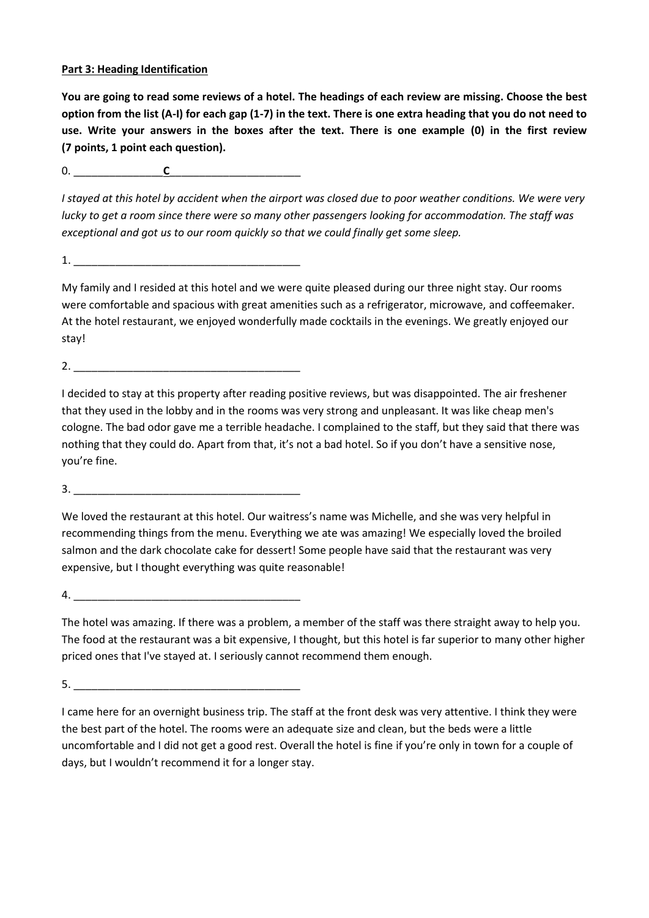### **Part 3: Heading Identification**

**You are going to read some reviews of a hotel. The headings of each review are missing. Choose the best option from the list (A-I) for each gap (1-7) in the text. There is one extra heading that you do not need to use. Write your answers in the boxes after the text. There is one example (0) in the first review (7 points, 1 point each question).**

0. \_\_\_\_\_\_\_\_\_\_\_\_\_\_\_**C**\_\_\_\_\_\_\_\_\_\_\_\_\_\_\_\_\_\_\_\_\_\_

*I stayed at this hotel by accident when the airport was closed due to poor weather conditions. We were very lucky to get a room since there were so many other passengers looking for accommodation. The staff was exceptional and got us to our room quickly so that we could finally get some sleep.*

1. \_\_\_\_\_\_\_\_\_\_\_\_\_\_\_\_\_\_\_\_\_\_\_\_\_\_\_\_\_\_\_\_\_\_\_\_\_\_

My family and I resided at this hotel and we were quite pleased during our three night stay. Our rooms were comfortable and spacious with great amenities such as a refrigerator, microwave, and coffeemaker. At the hotel restaurant, we enjoyed wonderfully made cocktails in the evenings. We greatly enjoyed our stay!

2.

I decided to stay at this property after reading positive reviews, but was disappointed. The air freshener that they used in the lobby and in the rooms was very strong and unpleasant. It was like cheap men's cologne. The bad odor gave me a terrible headache. I complained to the staff, but they said that there was nothing that they could do. Apart from that, it's not a bad hotel. So if you don't have a sensitive nose, you're fine.

3. \_\_\_\_\_\_\_\_\_\_\_\_\_\_\_\_\_\_\_\_\_\_\_\_\_\_\_\_\_\_\_\_\_\_\_\_\_\_

We loved the restaurant at this hotel. Our waitress's name was Michelle, and she was very helpful in recommending things from the menu. Everything we ate was amazing! We especially loved the broiled salmon and the dark chocolate cake for dessert! Some people have said that the restaurant was very expensive, but I thought everything was quite reasonable!

 $4.$ 

The hotel was amazing. If there was a problem, a member of the staff was there straight away to help you. The food at the restaurant was a bit expensive, I thought, but this hotel is far superior to many other higher priced ones that I've stayed at. I seriously cannot recommend them enough.

 $5.$ 

I came here for an overnight business trip. The staff at the front desk was very attentive. I think they were the best part of the hotel. The rooms were an adequate size and clean, but the beds were a little uncomfortable and I did not get a good rest. Overall the hotel is fine if you're only in town for a couple of days, but I wouldn't recommend it for a longer stay.